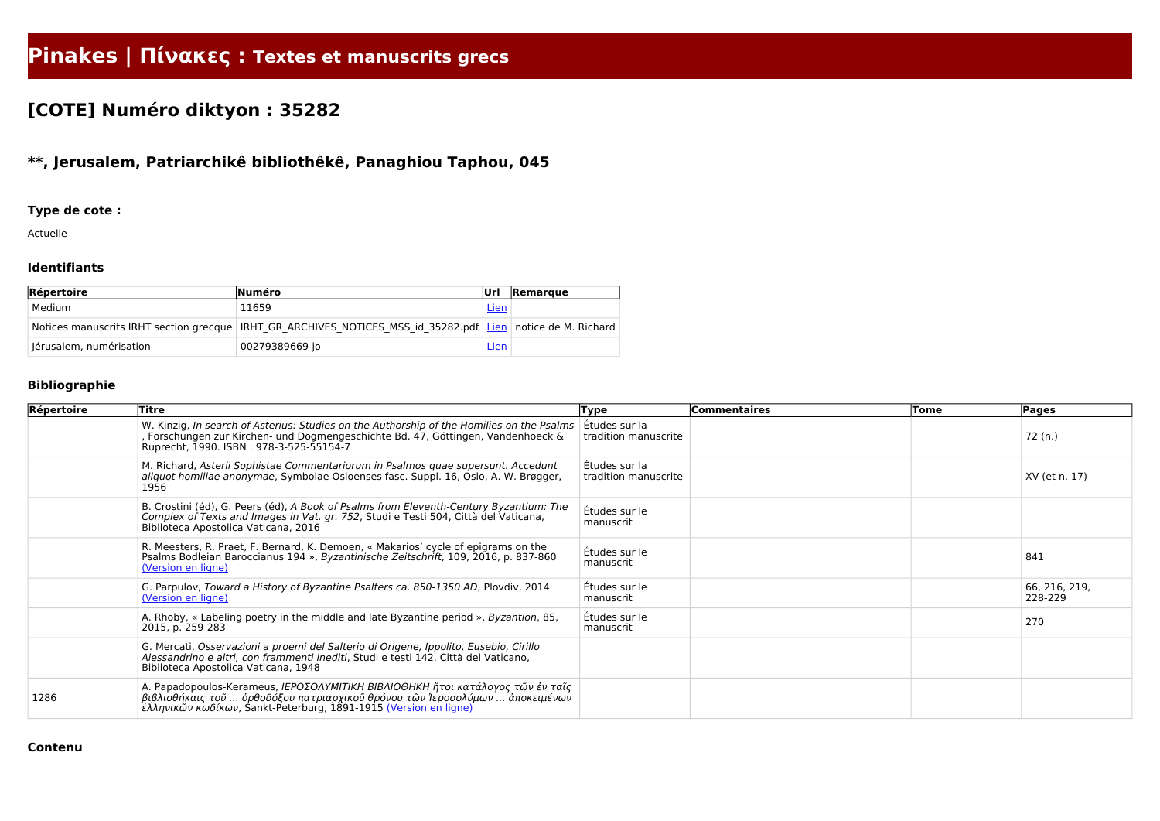# **Pinakes | Πίνακες : Textes et manuscrits grecs**

## **[COTE] Numéro diktyon : 35282**

### **\*\*, Jerusalem, Patriarchikê bibliothêkê, Panaghiou Taphou, 045**

#### **Type de cote :**

Actuelle

#### **Identifiants**

| Répertoire              | <b>Numéro</b>                                                                                               | lUrl        | Remarque |
|-------------------------|-------------------------------------------------------------------------------------------------------------|-------------|----------|
| Medium                  | 11659                                                                                                       | <u>Lien</u> |          |
|                         | Notices manuscrits IRHT section grecque IRHT GR ARCHIVES NOTICES MSS id 35282.pdf Lien notice de M. Richard |             |          |
| Jérusalem, numérisation | 00279389669-jo                                                                                              | <b>Lien</b> |          |

#### **Bibliographie**

| Répertoire | Titre                                                                                                                                                                                                                              | <b>Type</b>                           | Commentaires | Tome | Pages                    |
|------------|------------------------------------------------------------------------------------------------------------------------------------------------------------------------------------------------------------------------------------|---------------------------------------|--------------|------|--------------------------|
|            | W. Kinzig, In search of Asterius: Studies on the Authorship of the Homilies on the Psalms<br>, Forschungen zur Kirchen- und Dogmengeschichte Bd. 47, Göttingen, Vandenhoeck &<br>Ruprecht, 1990. ISBN: 978-3-525-55154-7           | Études sur la<br>tradition manuscrite |              |      | 72 (n.)                  |
|            | M. Richard, Asterii Sophistae Commentariorum in Psalmos quae supersunt. Accedunt<br>aliquot homiliae anonymae, Symbolae Osloenses fasc. Suppl. 16, Oslo, A. W. Brøgger,<br>1956                                                    | Études sur la<br>tradition manuscrite |              |      | XV (et n. 17)            |
|            | B. Crostini (éd), G. Peers (éd), A Book of Psalms from Eleventh-Century Byzantium: The<br>Complex of Texts and Images in Vat. gr. 752, Studi e Testi 504, Città del Vaticana,<br>Biblioteca Apostolica Vaticana, 2016              | Études sur le<br>manuscrit            |              |      |                          |
|            | R. Meesters, R. Praet, F. Bernard, K. Demoen, « Makarios' cycle of epigrams on the<br>Psalms Bodleian Baroccianus 194 », Byzantinische Zeitschrift, 109, 2016, p. 837-860<br>(Version en ligne)                                    | Études sur le<br>manuscrit            |              |      | 841                      |
|            | G. Parpulov, Toward a History of Byzantine Psalters ca. 850-1350 AD, Plovdiv, 2014<br>(Version en ligne)                                                                                                                           | Études sur le<br>manuscrit            |              |      | 66, 216, 219,<br>228-229 |
|            | A. Rhoby, « Labeling poetry in the middle and late Byzantine period », Byzantion, 85,<br>2015, p. 259-283                                                                                                                          | Études sur le<br>manuscrit            |              |      | 270                      |
|            | G. Mercati, Osservazioni a proemi del Salterio di Origene, Ippolito, Eusebio, Cirillo<br>Alessandrino e altri, con frammenti inediti, Studi e testi 142, Città del Vaticano,<br>Biblioteca Apostolica Vaticana, 1948               |                                       |              |      |                          |
| 1286       | A. Papadopoulos-Kerameus, IEPOΣΟΛΥΜΙΤΙΚΗ ΒΙΒΛΙΟΘΗΚΗ ἥτοι κατάλογος τῶν ἐν ταῖς<br>βιβλιοθήκαις τοῦ  ὀρθοδόξου πατριαρχικοῦ θρόνου τῶν Ἰεροσολύμων  ἀποκειμένων<br>έλληνικῶν κωδίκων, Sankt-Peterburg, 1891-1915 (Version en ligne) |                                       |              |      |                          |

**Contenu**